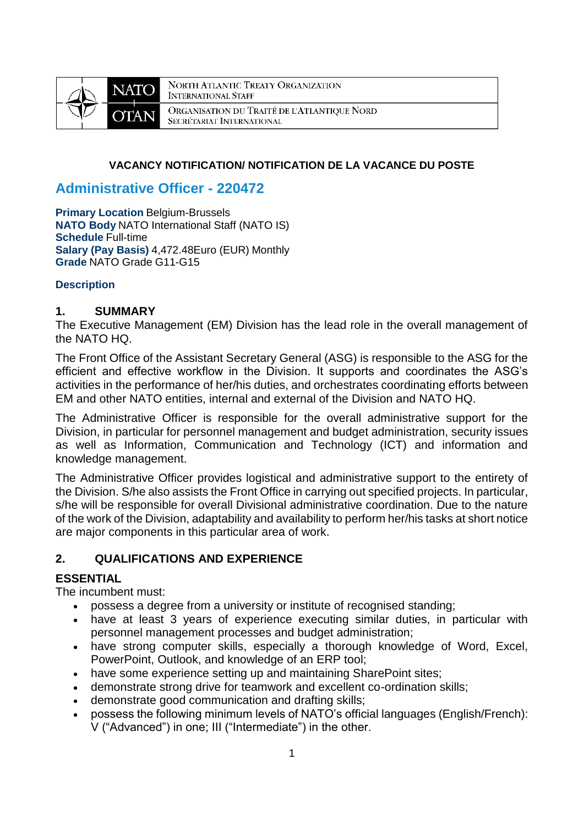

NORTH ATLANTIC TREATY ORGANIZATION **INTERNATIONAL STAFF** ORGANISATION DU TRAITÉ DE L'ATLANTIQUE NORD SECRÉTARIAT INTERNATIONAL

#### **VACANCY NOTIFICATION/ NOTIFICATION DE LA VACANCE DU POSTE**

## **Administrative Officer - 220472**

**Primary Location** Belgium-Brussels **NATO Body** NATO International Staff (NATO IS) **Schedule** Full-time **Salary (Pay Basis)** 4,472.48Euro (EUR) Monthly **Grade** NATO Grade G11-G15

#### **Description**

#### **1. SUMMARY**

The Executive Management (EM) Division has the lead role in the overall management of the NATO HQ.

The Front Office of the Assistant Secretary General (ASG) is responsible to the ASG for the efficient and effective workflow in the Division. It supports and coordinates the ASG's activities in the performance of her/his duties, and orchestrates coordinating efforts between EM and other NATO entities, internal and external of the Division and NATO HQ.

The Administrative Officer is responsible for the overall administrative support for the Division, in particular for personnel management and budget administration, security issues as well as Information, Communication and Technology (ICT) and information and knowledge management.

The Administrative Officer provides logistical and administrative support to the entirety of the Division. S/he also assists the Front Office in carrying out specified projects. In particular, s/he will be responsible for overall Divisional administrative coordination. Due to the nature of the work of the Division, adaptability and availability to perform her/his tasks at short notice are major components in this particular area of work.

#### **2. QUALIFICATIONS AND EXPERIENCE**

#### **ESSENTIAL**

The incumbent must:

- possess a degree from a university or institute of recognised standing;
- have at least 3 years of experience executing similar duties, in particular with personnel management processes and budget administration;
- have strong computer skills, especially a thorough knowledge of Word, Excel, PowerPoint, Outlook, and knowledge of an ERP tool;
- have some experience setting up and maintaining SharePoint sites;
- demonstrate strong drive for teamwork and excellent co-ordination skills;
- demonstrate good communication and drafting skills;
- possess the following minimum levels of NATO's official languages (English/French): V ("Advanced") in one; III ("Intermediate") in the other.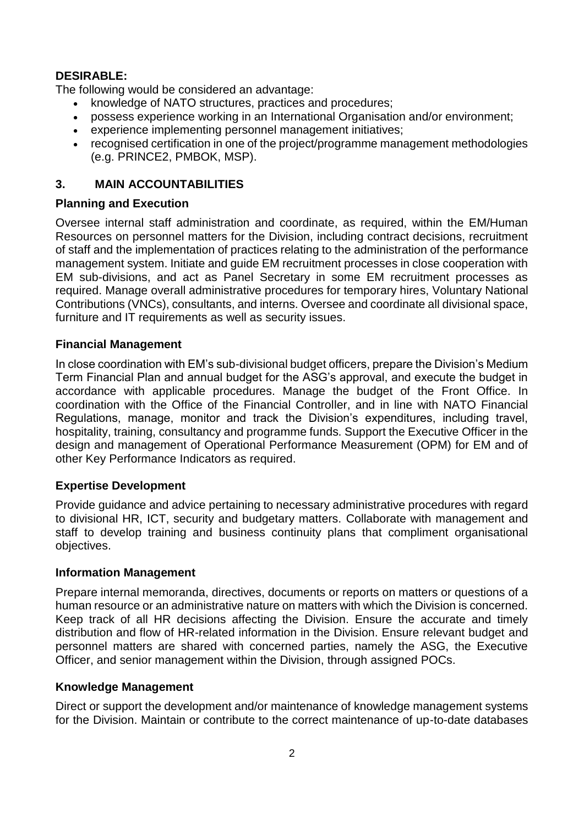## **DESIRABLE:**

The following would be considered an advantage:

- knowledge of NATO structures, practices and procedures;
- possess experience working in an International Organisation and/or environment;
- experience implementing personnel management initiatives;
- recognised certification in one of the project/programme management methodologies (e.g. PRINCE2, PMBOK, MSP).

# **3. MAIN ACCOUNTABILITIES**

## **Planning and Execution**

Oversee internal staff administration and coordinate, as required, within the EM/Human Resources on personnel matters for the Division, including contract decisions, recruitment of staff and the implementation of practices relating to the administration of the performance management system. Initiate and guide EM recruitment processes in close cooperation with EM sub-divisions, and act as Panel Secretary in some EM recruitment processes as required. Manage overall administrative procedures for temporary hires, Voluntary National Contributions (VNCs), consultants, and interns. Oversee and coordinate all divisional space, furniture and IT requirements as well as security issues.

## **Financial Management**

In close coordination with EM's sub-divisional budget officers, prepare the Division's Medium Term Financial Plan and annual budget for the ASG's approval, and execute the budget in accordance with applicable procedures. Manage the budget of the Front Office. In coordination with the Office of the Financial Controller, and in line with NATO Financial Regulations, manage, monitor and track the Division's expenditures, including travel, hospitality, training, consultancy and programme funds. Support the Executive Officer in the design and management of Operational Performance Measurement (OPM) for EM and of other Key Performance Indicators as required.

## **Expertise Development**

Provide guidance and advice pertaining to necessary administrative procedures with regard to divisional HR, ICT, security and budgetary matters. Collaborate with management and staff to develop training and business continuity plans that compliment organisational objectives.

#### **Information Management**

Prepare internal memoranda, directives, documents or reports on matters or questions of a human resource or an administrative nature on matters with which the Division is concerned. Keep track of all HR decisions affecting the Division. Ensure the accurate and timely distribution and flow of HR-related information in the Division. Ensure relevant budget and personnel matters are shared with concerned parties, namely the ASG, the Executive Officer, and senior management within the Division, through assigned POCs.

#### **Knowledge Management**

Direct or support the development and/or maintenance of knowledge management systems for the Division. Maintain or contribute to the correct maintenance of up-to-date databases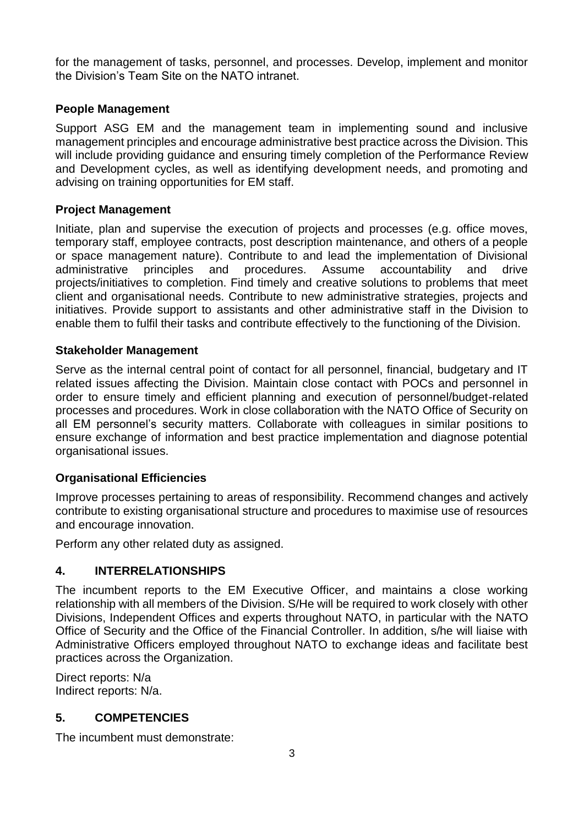for the management of tasks, personnel, and processes. Develop, implement and monitor the Division's Team Site on the NATO intranet.

#### **People Management**

Support ASG EM and the management team in implementing sound and inclusive management principles and encourage administrative best practice across the Division. This will include providing guidance and ensuring timely completion of the Performance Review and Development cycles, as well as identifying development needs, and promoting and advising on training opportunities for EM staff.

### **Project Management**

Initiate, plan and supervise the execution of projects and processes (e.g. office moves, temporary staff, employee contracts, post description maintenance, and others of a people or space management nature). Contribute to and lead the implementation of Divisional administrative principles and procedures. Assume accountability and drive projects/initiatives to completion. Find timely and creative solutions to problems that meet client and organisational needs. Contribute to new administrative strategies, projects and initiatives. Provide support to assistants and other administrative staff in the Division to enable them to fulfil their tasks and contribute effectively to the functioning of the Division.

### **Stakeholder Management**

Serve as the internal central point of contact for all personnel, financial, budgetary and IT related issues affecting the Division. Maintain close contact with POCs and personnel in order to ensure timely and efficient planning and execution of personnel/budget-related processes and procedures. Work in close collaboration with the NATO Office of Security on all EM personnel's security matters. Collaborate with colleagues in similar positions to ensure exchange of information and best practice implementation and diagnose potential organisational issues.

## **Organisational Efficiencies**

Improve processes pertaining to areas of responsibility. Recommend changes and actively contribute to existing organisational structure and procedures to maximise use of resources and encourage innovation.

Perform any other related duty as assigned.

## **4. INTERRELATIONSHIPS**

The incumbent reports to the EM Executive Officer, and maintains a close working relationship with all members of the Division. S/He will be required to work closely with other Divisions, Independent Offices and experts throughout NATO, in particular with the NATO Office of Security and the Office of the Financial Controller. In addition, s/he will liaise with Administrative Officers employed throughout NATO to exchange ideas and facilitate best practices across the Organization.

Direct reports: N/a Indirect reports: N/a.

## **5. COMPETENCIES**

The incumbent must demonstrate: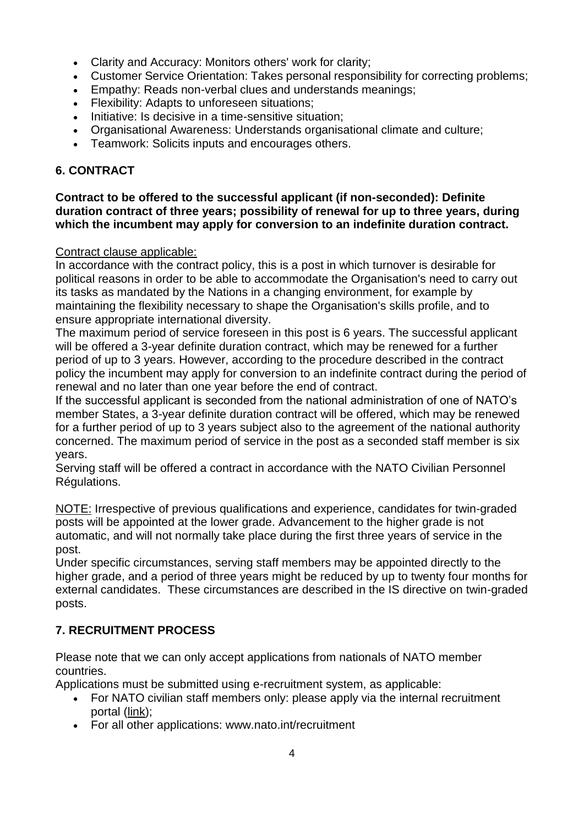- Clarity and Accuracy: Monitors others' work for clarity;
- Customer Service Orientation: Takes personal responsibility for correcting problems;
- Empathy: Reads non-verbal clues and understands meanings;
- Flexibility: Adapts to unforeseen situations;
- Initiative: Is decisive in a time-sensitive situation:
- Organisational Awareness: Understands organisational climate and culture;
- Teamwork: Solicits inputs and encourages others.

# **6. CONTRACT**

#### **Contract to be offered to the successful applicant (if non-seconded): Definite duration contract of three years; possibility of renewal for up to three years, during which the incumbent may apply for conversion to an indefinite duration contract.**

## Contract clause applicable:

In accordance with the contract policy, this is a post in which turnover is desirable for political reasons in order to be able to accommodate the Organisation's need to carry out its tasks as mandated by the Nations in a changing environment, for example by maintaining the flexibility necessary to shape the Organisation's skills profile, and to ensure appropriate international diversity.

The maximum period of service foreseen in this post is 6 years. The successful applicant will be offered a 3-year definite duration contract, which may be renewed for a further period of up to 3 years. However, according to the procedure described in the contract policy the incumbent may apply for conversion to an indefinite contract during the period of renewal and no later than one year before the end of contract.

If the successful applicant is seconded from the national administration of one of NATO's member States, a 3-year definite duration contract will be offered, which may be renewed for a further period of up to 3 years subject also to the agreement of the national authority concerned. The maximum period of service in the post as a seconded staff member is six years.

Serving staff will be offered a contract in accordance with the NATO Civilian Personnel Régulations.

NOTE: Irrespective of previous qualifications and experience, candidates for twin-graded posts will be appointed at the lower grade. Advancement to the higher grade is not automatic, and will not normally take place during the first three years of service in the post.

Under specific circumstances, serving staff members may be appointed directly to the higher grade, and a period of three years might be reduced by up to twenty four months for external candidates. These circumstances are described in the IS directive on twin-graded posts.

# **7. RECRUITMENT PROCESS**

Please note that we can only accept applications from nationals of NATO member countries.

Applications must be submitted using e-recruitment system, as applicable:

- For NATO civilian staff members only: please apply via the internal recruitment portal [\(link\)](https://nato.taleo.net/careersection/1/jobsearch.ftl?lang=en);
- For all other applications: www.nato.int/recruitment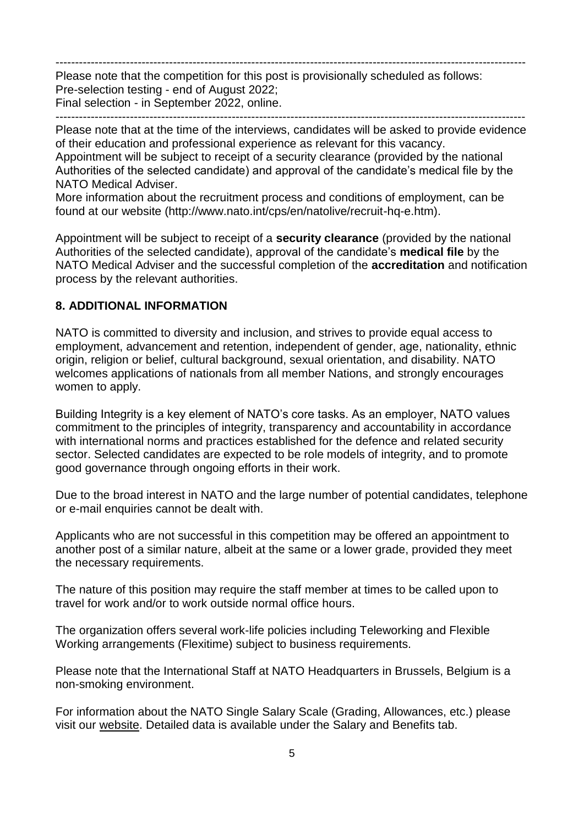------------------------------------------------------------------------------------------------------------------------ Please note that the competition for this post is provisionally scheduled as follows: Pre-selection testing - end of August 2022; Final selection - in September 2022, online. ------------------------------------------------------------------------------------------------------------------------

Please note that at the time of the interviews, candidates will be asked to provide evidence of their education and professional experience as relevant for this vacancy. Appointment will be subject to receipt of a security clearance (provided by the national Authorities of the selected candidate) and approval of the candidate's medical file by the NATO Medical Adviser.

More information about the recruitment process and conditions of employment, can be found at our website (http://www.nato.int/cps/en/natolive/recruit-hq-e.htm).

Appointment will be subject to receipt of a **security clearance** (provided by the national Authorities of the selected candidate), approval of the candidate's **medical file** by the NATO Medical Adviser and the successful completion of the **accreditation** and notification process by the relevant authorities.

## **8. ADDITIONAL INFORMATION**

NATO is committed to diversity and inclusion, and strives to provide equal access to employment, advancement and retention, independent of gender, age, nationality, ethnic origin, religion or belief, cultural background, sexual orientation, and disability. NATO welcomes applications of nationals from all member Nations, and strongly encourages women to apply.

Building Integrity is a key element of NATO's core tasks. As an employer, NATO values commitment to the principles of integrity, transparency and accountability in accordance with international norms and practices established for the defence and related security sector. Selected candidates are expected to be role models of integrity, and to promote good governance through ongoing efforts in their work.

Due to the broad interest in NATO and the large number of potential candidates, telephone or e-mail enquiries cannot be dealt with.

Applicants who are not successful in this competition may be offered an appointment to another post of a similar nature, albeit at the same or a lower grade, provided they meet the necessary requirements.

The nature of this position may require the staff member at times to be called upon to travel for work and/or to work outside normal office hours.

The organization offers several work-life policies including Teleworking and Flexible Working arrangements (Flexitime) subject to business requirements.

Please note that the International Staff at NATO Headquarters in Brussels, Belgium is a non-smoking environment.

For information about the NATO Single Salary Scale (Grading, Allowances, etc.) please visit our [website.](https://www.nato.int/cps/en/natolive/86790.htm) Detailed data is available under the Salary and Benefits tab.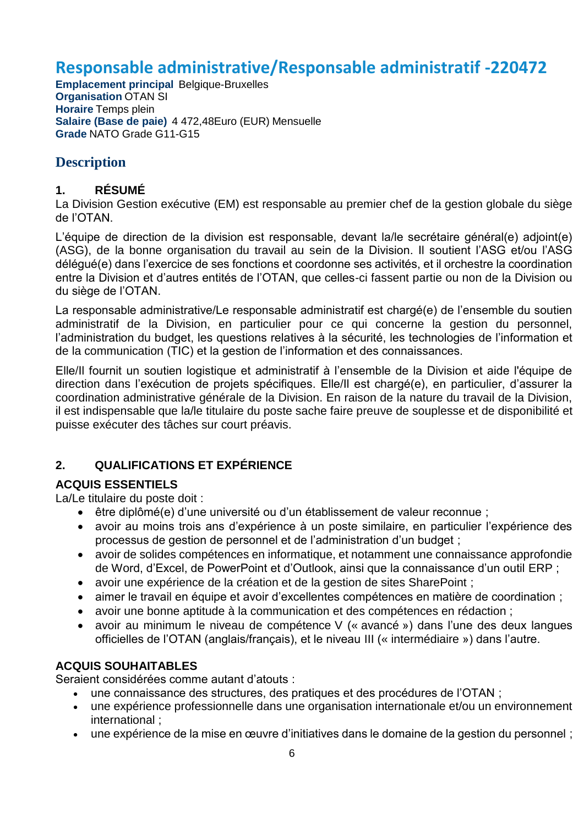# **Responsable administrative/Responsable administratif -220472**

**Emplacement principal** Belgique-Bruxelles **Organisation** OTAN SI **Horaire** Temps plein **Salaire (Base de paie)** 4 472,48Euro (EUR) Mensuelle **Grade** NATO Grade G11-G15

# **Description**

## **1. RÉSUMÉ**

La Division Gestion exécutive (EM) est responsable au premier chef de la gestion globale du siège de l'OTAN.

L'équipe de direction de la division est responsable, devant la/le secrétaire général(e) adjoint(e) (ASG), de la bonne organisation du travail au sein de la Division. Il soutient l'ASG et/ou l'ASG délégué(e) dans l'exercice de ses fonctions et coordonne ses activités, et il orchestre la coordination entre la Division et d'autres entités de l'OTAN, que celles-ci fassent partie ou non de la Division ou du siège de l'OTAN.

La responsable administrative/Le responsable administratif est chargé(e) de l'ensemble du soutien administratif de la Division, en particulier pour ce qui concerne la gestion du personnel, l'administration du budget, les questions relatives à la sécurité, les technologies de l'information et de la communication (TIC) et la gestion de l'information et des connaissances.

Elle/Il fournit un soutien logistique et administratif à l'ensemble de la Division et aide l'équipe de direction dans l'exécution de projets spécifiques. Elle/Il est chargé(e), en particulier, d'assurer la coordination administrative générale de la Division. En raison de la nature du travail de la Division, il est indispensable que la/le titulaire du poste sache faire preuve de souplesse et de disponibilité et puisse exécuter des tâches sur court préavis.

# **2. QUALIFICATIONS ET EXPÉRIENCE**

## **ACQUIS ESSENTIELS**

La/Le titulaire du poste doit :

- être diplômé(e) d'une université ou d'un établissement de valeur reconnue ;
- avoir au moins trois ans d'expérience à un poste similaire, en particulier l'expérience des processus de gestion de personnel et de l'administration d'un budget ;
- avoir de solides compétences en informatique, et notamment une connaissance approfondie de Word, d'Excel, de PowerPoint et d'Outlook, ainsi que la connaissance d'un outil ERP ;
- avoir une expérience de la création et de la gestion de sites SharePoint ;
- aimer le travail en équipe et avoir d'excellentes compétences en matière de coordination ;
- avoir une bonne aptitude à la communication et des compétences en rédaction ;
- avoir au minimum le niveau de compétence V (« avancé ») dans l'une des deux langues officielles de l'OTAN (anglais/français), et le niveau III (« intermédiaire ») dans l'autre.

## **ACQUIS SOUHAITABLES**

Seraient considérées comme autant d'atouts :

- une connaissance des structures, des pratiques et des procédures de l'OTAN ;
- une expérience professionnelle dans une organisation internationale et/ou un environnement international ;
- une expérience de la mise en œuvre d'initiatives dans le domaine de la gestion du personnel ;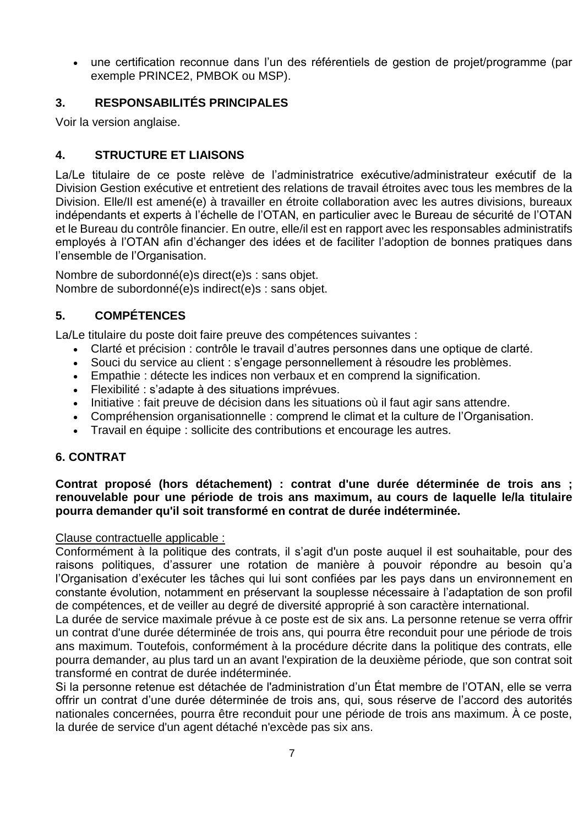une certification reconnue dans l'un des référentiels de gestion de projet/programme (par exemple PRINCE2, PMBOK ou MSP).

## **3. RESPONSABILITÉS PRINCIPALES**

Voir la version anglaise.

## **4. STRUCTURE ET LIAISONS**

La/Le titulaire de ce poste relève de l'administratrice exécutive/administrateur exécutif de la Division Gestion exécutive et entretient des relations de travail étroites avec tous les membres de la Division. Elle/Il est amené(e) à travailler en étroite collaboration avec les autres divisions, bureaux indépendants et experts à l'échelle de l'OTAN, en particulier avec le Bureau de sécurité de l'OTAN et le Bureau du contrôle financier. En outre, elle/il est en rapport avec les responsables administratifs employés à l'OTAN afin d'échanger des idées et de faciliter l'adoption de bonnes pratiques dans l'ensemble de l'Organisation.

Nombre de subordonné(e)s direct(e)s : sans objet. Nombre de subordonné(e)s indirect(e)s : sans objet.

# **5. COMPÉTENCES**

La/Le titulaire du poste doit faire preuve des compétences suivantes :

- Clarté et précision : contrôle le travail d'autres personnes dans une optique de clarté.
- Souci du service au client : s'engage personnellement à résoudre les problèmes.
- Empathie : détecte les indices non verbaux et en comprend la signification.
- Flexibilité : s'adapte à des situations imprévues.
- Initiative : fait preuve de décision dans les situations où il faut agir sans attendre.
- Compréhension organisationnelle : comprend le climat et la culture de l'Organisation.
- Travail en équipe : sollicite des contributions et encourage les autres.

## **6. CONTRAT**

### **Contrat proposé (hors détachement) : contrat d'une durée déterminée de trois ans ; renouvelable pour une période de trois ans maximum, au cours de laquelle le/la titulaire pourra demander qu'il soit transformé en contrat de durée indéterminée.**

#### Clause contractuelle applicable :

Conformément à la politique des contrats, il s'agit d'un poste auquel il est souhaitable, pour des raisons politiques, d'assurer une rotation de manière à pouvoir répondre au besoin qu'a l'Organisation d'exécuter les tâches qui lui sont confiées par les pays dans un environnement en constante évolution, notamment en préservant la souplesse nécessaire à l'adaptation de son profil de compétences, et de veiller au degré de diversité approprié à son caractère international.

La durée de service maximale prévue à ce poste est de six ans. La personne retenue se verra offrir un contrat d'une durée déterminée de trois ans, qui pourra être reconduit pour une période de trois ans maximum. Toutefois, conformément à la procédure décrite dans la politique des contrats, elle pourra demander, au plus tard un an avant l'expiration de la deuxième période, que son contrat soit transformé en contrat de durée indéterminée.

Si la personne retenue est détachée de l'administration d'un État membre de l'OTAN, elle se verra offrir un contrat d'une durée déterminée de trois ans, qui, sous réserve de l'accord des autorités nationales concernées, pourra être reconduit pour une période de trois ans maximum. À ce poste, la durée de service d'un agent détaché n'excède pas six ans.